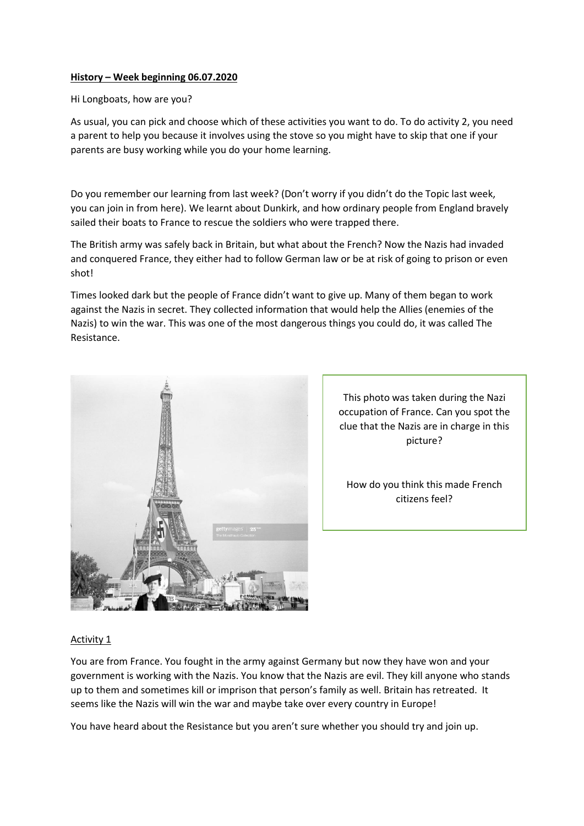## History – Week beginning 06.07.2020

## Hi Longboats, how are you?

As usual, you can pick and choose which of these activities you want to do. To do activity 2, you need a parent to help you because it involves using the stove so you might have to skip that one if your parents are busy working while you do your home learning.

Do you remember our learning from last week? (Don't worry if you didn't do the Topic last week, you can join in from here). We learnt about Dunkirk, and how ordinary people from England bravely sailed their boats to France to rescue the soldiers who were trapped there.

The British army was safely back in Britain, but what about the French? Now the Nazis had invaded and conquered France, they either had to follow German law or be at risk of going to prison or even shot!

Times looked dark but the people of France didn't want to give up. Many of them began to work against the Nazis in secret. They collected information that would help the Allies (enemies of the Nazis) to win the war. This was one of the most dangerous things you could do, it was called The Resistance.



This photo was taken during the Nazi occupation of France. Can you spot the clue that the Nazis are in charge in this picture?

How do you think this made French citizens feel?

## Activity 1

You are from France. You fought in the army against Germany but now they have won and your government is working with the Nazis. You know that the Nazis are evil. They kill anyone who stands up to them and sometimes kill or imprison that person's family as well. Britain has retreated. It seems like the Nazis will win the war and maybe take over every country in Europe!

You have heard about the Resistance but you aren't sure whether you should try and join up.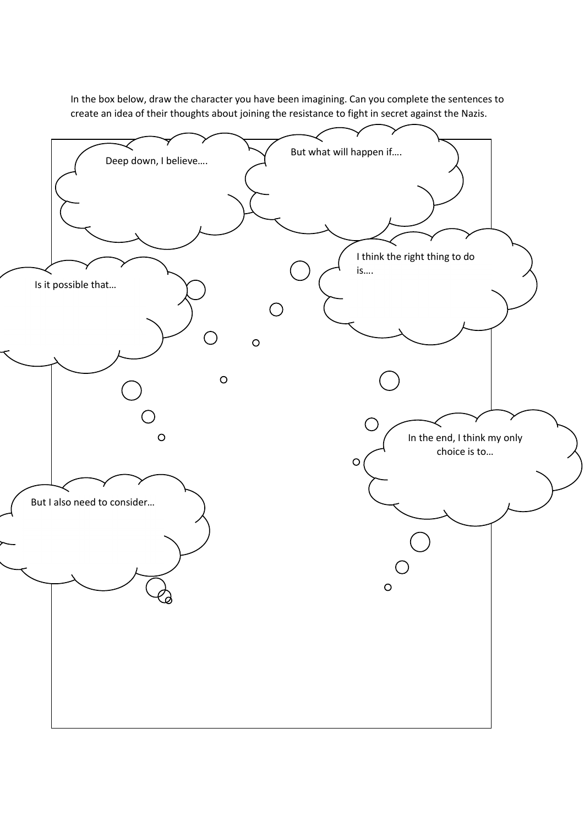In the box below, draw the character you have been imagining. Can you complete the sentences to create an idea of their thoughts about joining the resistance to fight in secret against the Nazis.

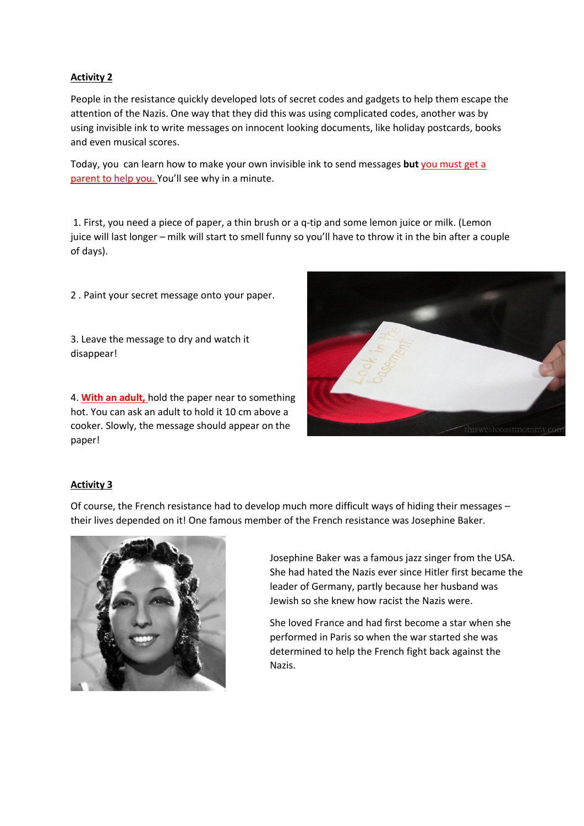# Activity 2

People in the resistance quickly developed lots of secret codes and gadgets to help them escape the attention of the Nazis. One way that they did this was using complicated codes, another was by using invisible ink to write messages on innocent looking documents, like holiday postcards, books and even musical scores.

Today, you can learn how to make your own invisible ink to send messages but you must get a parent to help you. You'll see why in a minute.

1. First, you need a piece of paper, a thin brush or a q-tip and some lemon juice or milk. (Lemon juice will last longer – milk will start to smell funny so you'll have to throw it in the bin after a couple of days).

2 . Paint your secret message onto your paper.

3. Leave the message to dry and watch it disappear!

4. With an adult, hold the paper near to something hot. You can ask an adult to hold it 10 cm above a cooker. Slowly, the message should appear on the paper!



## Activity 3

Of course, the French resistance had to develop much more difficult ways of hiding their messages – their lives depended on it! One famous member of the French resistance was Josephine Baker.



Josephine Baker was a famous jazz singer from the USA. She had hated the Nazis ever since Hitler first became the leader of Germany, partly because her husband was Jewish so she knew how racist the Nazis were.

She loved France and had first become a star when she performed in Paris so when the war started she was determined to help the French fight back against the Nazis.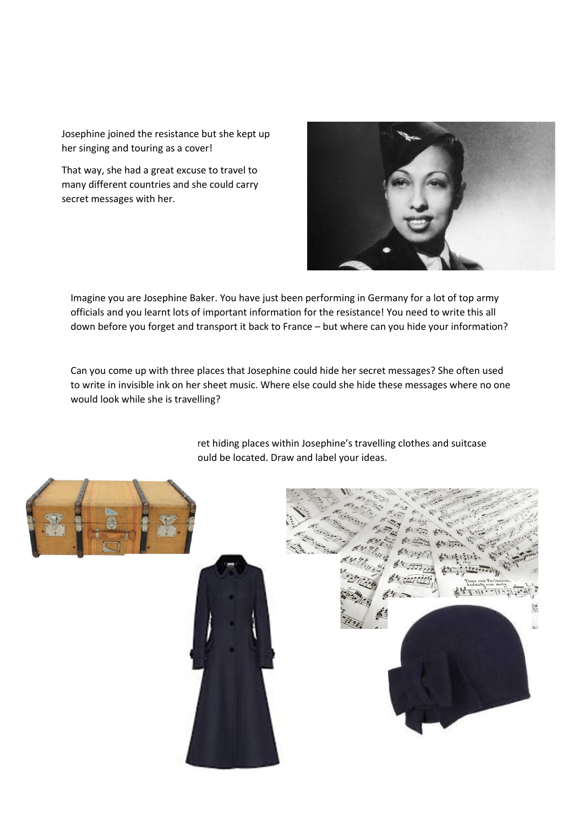Josephine joined the resistance but she kept up her singing and touring as a cover!

That way, she had a great excuse to travel to many different countries and she could carry secret messages with her.



Imagine you are Josephine Baker. You have just been performing in Germany for a lot of top army officials and you learnt lots of important information for the resistance! You need to write this all down before you forget and transport it back to France – but where can you hide your information?

Can you come up with three places that Josephine could hide her secret messages? She often used to write in invisible ink on her sheet music. Where else could she hide these messages where no one would look while she is travelling?

> ret hiding places within Josephine's travelling clothes and suitcase ould be located. Draw and label your ideas.